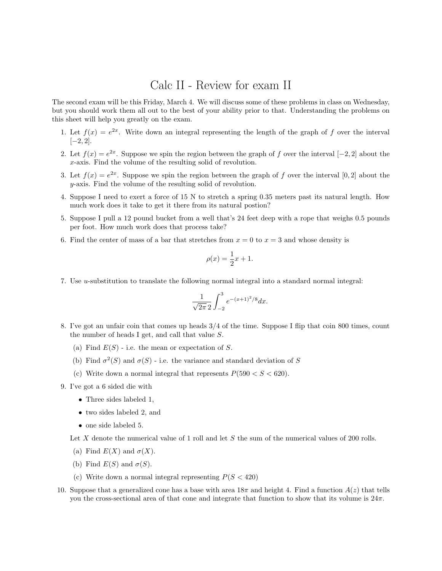## Calc II - Review for exam II

The second exam will be this Friday, March 4. We will discuss some of these problems in class on Wednesday, but you should work them all out to the best of your ability prior to that. Understanding the problems on this sheet will help you greatly on the exam.

- 1. Let  $f(x) = e^{2x}$ . Write down an integral representing the length of the graph of f over the interval  $[-2, 2]$ .
- 2. Let  $f(x) = e^{2x}$ . Suppose we spin the region between the graph of f over the interval [-2, 2] about the x-axis. Find the volume of the resulting solid of revolution.
- 3. Let  $f(x) = e^{2x}$ . Suppose we spin the region between the graph of f over the interval [0, 2] about the y-axis. Find the volume of the resulting solid of revolution.
- 4. Suppose I need to exert a force of 15 N to stretch a spring 0.35 meters past its natural length. How much work does it take to get it there from its natural postion?
- 5. Suppose I pull a 12 pound bucket from a well that's 24 feet deep with a rope that weighs 0.5 pounds per foot. How much work does that process take?
- 6. Find the center of mass of a bar that stretches from  $x = 0$  to  $x = 3$  and whose density is

$$
\rho(x) = \frac{1}{2}x + 1.
$$

7. Use u-substitution to translate the following normal integral into a standard normal integral:

$$
\frac{1}{\sqrt{2\pi} 2} \int_{-2}^{3} e^{-(x+1)^2/8} dx.
$$

- 8. I've got an unfair coin that comes up heads 3/4 of the time. Suppose I flip that coin 800 times, count the number of heads I get, and call that value S.
	- (a) Find  $E(S)$  i.e. the mean or expectation of S.
	- (b) Find  $\sigma^2(S)$  and  $\sigma(S)$  i.e. the variance and standard deviation of S
	- (c) Write down a normal integral that represents  $P(590 < S < 620)$ .
- 9. I've got a 6 sided die with
	- Three sides labeled 1,
	- two sides labeled 2, and
	- one side labeled 5.

Let X denote the numerical value of 1 roll and let S the sum of the numerical values of 200 rolls.

- (a) Find  $E(X)$  and  $\sigma(X)$ .
- (b) Find  $E(S)$  and  $\sigma(S)$ .
- (c) Write down a normal integral representing  $P(S < 420)$
- 10. Suppose that a generalized cone has a base with area  $18\pi$  and height 4. Find a function  $A(z)$  that tells you the cross-sectional area of that cone and integrate that function to show that its volume is  $24π$ .